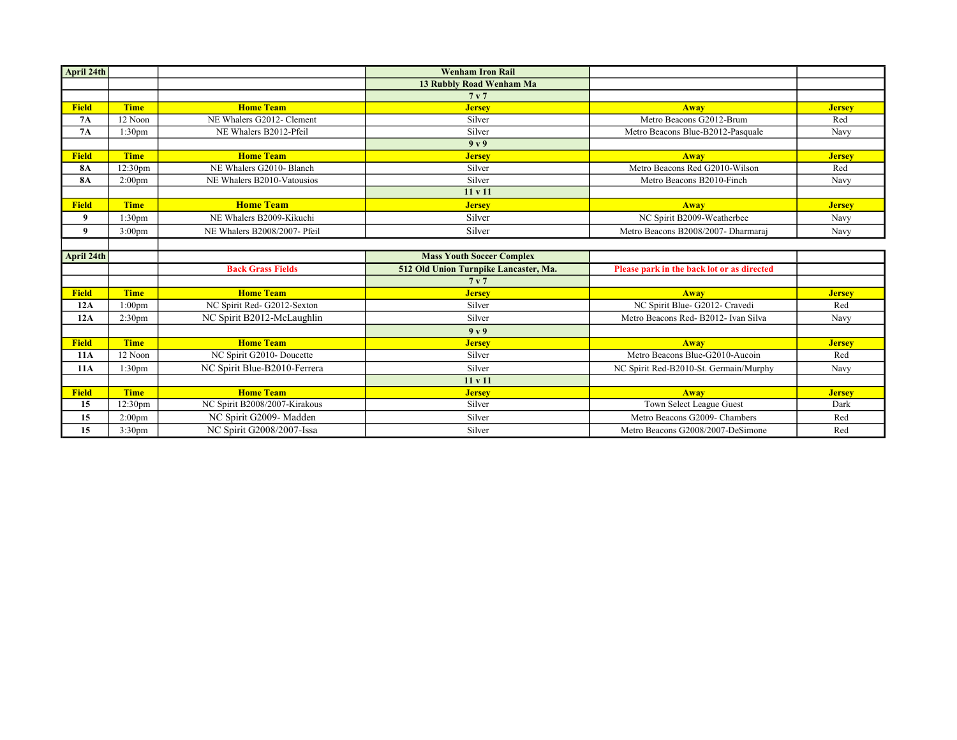| April 24th   |                     |                               | <b>Wenham Iron Rail</b>               |                                            |               |
|--------------|---------------------|-------------------------------|---------------------------------------|--------------------------------------------|---------------|
|              |                     |                               | 13 Rubbly Road Wenham Ma              |                                            |               |
|              |                     |                               | 7 <sub>v</sub> 7                      |                                            |               |
| <b>Field</b> | <b>Time</b>         | <b>Home Team</b>              | <b>Jersey</b>                         | Away                                       | <b>Jersey</b> |
| <b>7A</b>    | 12 Noon             | NE Whalers G2012- Clement     | Silver                                | Metro Beacons G2012-Brum                   | Red           |
| 7A           | 1:30 <sub>pm</sub>  | NE Whalers B2012-Pfeil        | Silver                                | Metro Beacons Blue-B2012-Pasquale          | Navy          |
|              |                     |                               | 9y9                                   |                                            |               |
| <b>Field</b> | <b>Time</b>         | <b>Home Team</b>              | <b>Jersey</b>                         | Away                                       | <b>Jersey</b> |
| <b>8A</b>    | 12:30pm             | NE Whalers G2010- Blanch      | Silver                                | Metro Beacons Red G2010-Wilson             | Red           |
| <b>8A</b>    | 2:00 <sub>pm</sub>  | NE Whalers B2010-Vatousios    | Silver                                | Metro Beacons B2010-Finch                  | Navy          |
|              |                     |                               | 11 v 11                               |                                            |               |
| <b>Field</b> | <b>Time</b>         | <b>Home Team</b>              | <b>Jersey</b>                         | Away                                       | <b>Jersey</b> |
| 9            | 1:30pm              | NE Whalers B2009-Kikuchi      | Silver                                | NC Spirit B2009-Weatherbee                 | Navy          |
| 9            | 3:00 <sub>pm</sub>  | NE Whalers B2008/2007- Pfeil  | Silver                                | Metro Beacons B2008/2007- Dharmaraj        | Navy          |
|              |                     |                               |                                       |                                            |               |
|              |                     |                               |                                       |                                            |               |
| April 24th   |                     |                               | <b>Mass Youth Soccer Complex</b>      |                                            |               |
|              |                     | <b>Back Grass Fields</b>      | 512 Old Union Turnpike Lancaster, Ma. | Please park in the back lot or as directed |               |
|              |                     |                               | 7 <sub>v</sub>                        |                                            |               |
| <b>Field</b> | <b>Time</b>         | <b>Home Team</b>              | <b>Jersey</b>                         | Away                                       | <b>Jersey</b> |
| 12A          | 1:00 <sub>pm</sub>  | NC Spirit Red- G2012-Sexton   | Silver                                | NC Spirit Blue- G2012- Cravedi             | Red           |
| 12A          | 2:30 <sub>pm</sub>  | NC Spirit B2012-McLaughlin    | Silver                                | Metro Beacons Red- B2012- Ivan Silva       | Navy          |
|              |                     |                               | 9y9                                   |                                            |               |
| <b>Field</b> | <b>Time</b>         | <b>Home Team</b>              | <b>Jersey</b>                         | Away                                       | <b>Jersey</b> |
| <b>11A</b>   | 12 Noon             | NC Spirit G2010- Doucette     | Silver                                | Metro Beacons Blue-G2010-Aucoin            | Red           |
| <b>11A</b>   | 1:30 <sub>pm</sub>  | NC Spirit Blue-B2010-Ferrera  | Silver                                | NC Spirit Red-B2010-St. Germain/Murphy     | Navy          |
|              |                     |                               | 11 v 11                               |                                            |               |
| <b>Field</b> | <b>Time</b>         | <b>Home Team</b>              | <b>Jersey</b>                         | Away                                       | <b>Jersey</b> |
| 15           | 12:30 <sub>pm</sub> | NC Spirit B2008/2007-Kirakous | Silver                                | Town Select League Guest                   | Dark          |
| 15           | 2:00 <sub>pm</sub>  | NC Spirit G2009- Madden       | Silver                                | Metro Beacons G2009- Chambers              | Red           |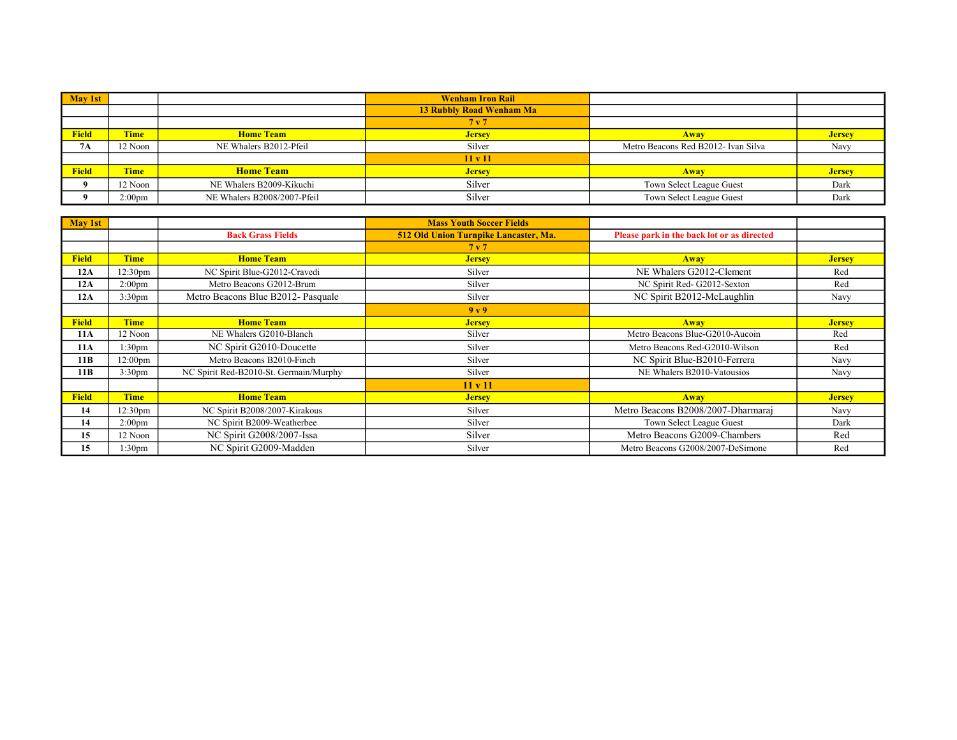| May 1st      |                    |                             | <b>Wenham Iron Rail</b>         |                                     |               |
|--------------|--------------------|-----------------------------|---------------------------------|-------------------------------------|---------------|
|              |                    |                             | <b>13 Rubbly Road Wenham Ma</b> |                                     |               |
|              |                    |                             | 7 <sub>v</sub> 7                |                                     |               |
| <b>Field</b> | <b>Time</b>        | <b>Home Team</b>            | <b>Jersey</b>                   | <b>Away</b>                         | <b>Jersey</b> |
| <b>7A</b>    | 12 Noon            | NE Whalers B2012-Pfeil      | Silver                          | Metro Beacons Red B2012- Ivan Silva | Navy          |
|              |                    |                             | 11 v 11                         |                                     |               |
| <b>Field</b> | <b>Time</b>        | <b>Home Team</b>            | <b>Jersey</b>                   | Away                                | <b>Jersey</b> |
| $\mathbf u$  | 12 Noon            | NE Whalers B2009-Kikuchi    | Silver                          | Town Select League Guest            | Dark          |
| $\Omega$     | 2:00 <sub>pm</sub> | NE Whalers B2008/2007-Pfeil | Silver                          | Town Select League Guest            | Dark          |

| May 1st      |                     |                                        | <b>Mass Youth Soccer Fields</b>       |                                            |               |
|--------------|---------------------|----------------------------------------|---------------------------------------|--------------------------------------------|---------------|
|              |                     | <b>Back Grass Fields</b>               | 512 Old Union Turnpike Lancaster, Ma. | Please park in the back lot or as directed |               |
|              |                     |                                        | 7 <sub>v</sub>                        |                                            |               |
| <b>Field</b> | <b>Time</b>         | <b>Home Team</b>                       | <b>Jersey</b>                         | Away                                       | <b>Jersey</b> |
| 12A          | 12:30 <sub>pm</sub> | NC Spirit Blue-G2012-Cravedi           | Silver                                | NE Whalers G2012-Clement                   | Red           |
| 12A          | 2:00 <sub>pm</sub>  | Metro Beacons G2012-Brum               | Silver                                | NC Spirit Red- G2012-Sexton                | Red           |
| 12A          | 3:30 <sub>pm</sub>  | Metro Beacons Blue B2012- Pasquale     | Silver                                | NC Spirit B2012-McLaughlin                 | Navy          |
|              |                     |                                        | 9y9                                   |                                            |               |
| <b>Field</b> | <b>Time</b>         | <b>Home Team</b>                       | <b>Jersey</b>                         | Away                                       | <b>Jersey</b> |
| 11A          | 12 Noon             | NE Whalers G2010-Blanch                | Silver                                | Metro Beacons Blue-G2010-Aucoin            | Red           |
| 11A          | 1:30 <sub>pm</sub>  | NC Spirit G2010-Doucette               | Silver                                | Metro Beacons Red-G2010-Wilson             | Red           |
| 11B          | 12:00 <sub>pm</sub> | Metro Beacons B2010-Finch              | Silver                                | NC Spirit Blue-B2010-Ferrera               | Navy          |
| 11B          | 3:30 <sub>pm</sub>  | NC Spirit Red-B2010-St. Germain/Murphy | Silver                                | NE Whalers B2010-Vatousios                 | Navy          |
|              |                     |                                        | 11 v 11                               |                                            |               |
| <b>Field</b> | <b>Time</b>         | <b>Home Team</b>                       | <b>Jersey</b>                         | Away                                       | <b>Jersey</b> |
| 14           | 12:30 <sub>pm</sub> | NC Spirit B2008/2007-Kirakous          | Silver                                | Metro Beacons B2008/2007-Dharmaraj         | Navy          |
| 14           | 2:00 <sub>pm</sub>  | NC Spirit B2009-Weatherbee             | Silver                                | Town Select League Guest                   | Dark          |
| 15           | 12 Noon             | NC Spirit G2008/2007-Issa              | Silver                                | Metro Beacons G2009-Chambers               | Red           |
| 15           | 1:30 <sub>pm</sub>  | NC Spirit G2009-Madden                 | Silver                                | Metro Beacons G2008/2007-DeSimone          | Red           |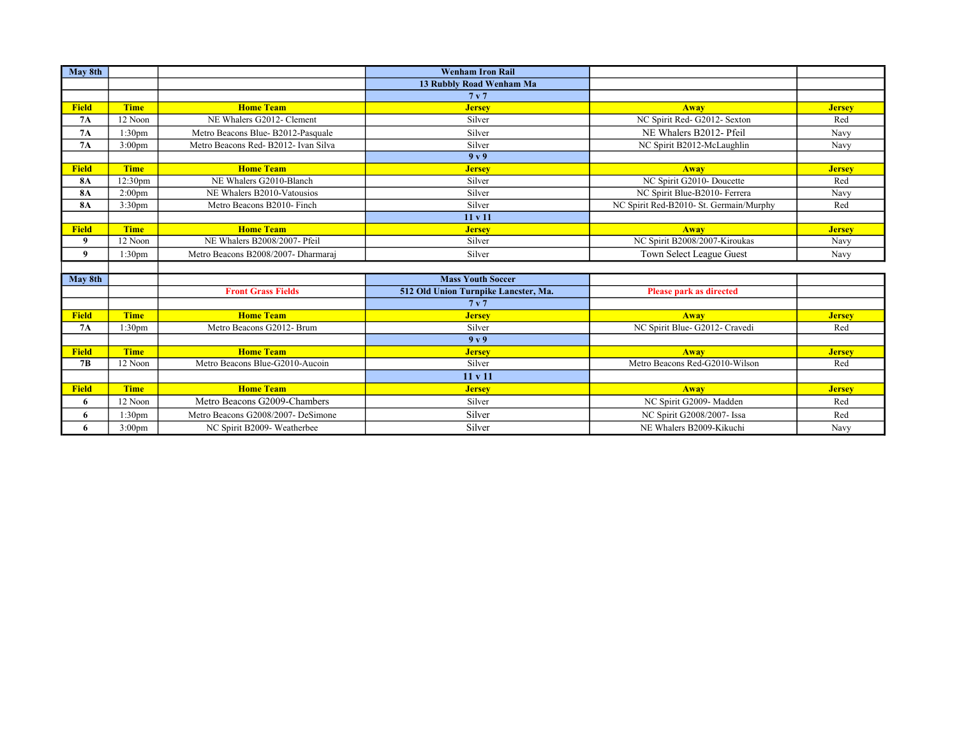| May 8th      |                    |                                      | <b>Wenham Iron Rail</b>              |                                         |               |
|--------------|--------------------|--------------------------------------|--------------------------------------|-----------------------------------------|---------------|
|              |                    |                                      | 13 Rubbly Road Wenham Ma             |                                         |               |
|              |                    |                                      | 7 <sub>v</sub>                       |                                         |               |
| <b>Field</b> | <b>Time</b>        | <b>Home Team</b>                     | <b>Jersey</b>                        | <b>Away</b>                             | <b>Jersey</b> |
| 7A           | 12 Noon            | NE Whalers G2012- Clement            | Silver                               | NC Spirit Red- G2012- Sexton            | Red           |
| 7A           | 1:30 <sub>pm</sub> | Metro Beacons Blue-B2012-Pasquale    | Silver                               | NE Whalers B2012- Pfeil                 | Navy          |
| <b>7A</b>    | 3:00 <sub>pm</sub> | Metro Beacons Red- B2012- Ivan Silva | Silver                               | NC Spirit B2012-McLaughlin              | Navy          |
|              |                    |                                      | 9 <sub>v</sub>                       |                                         |               |
| <b>Field</b> | <b>Time</b>        | <b>Home Team</b>                     | <b>Jersey</b>                        | <b>Away</b>                             | <b>Jersey</b> |
| <b>8A</b>    | 12:30pm            | NE Whalers G2010-Blanch              | Silver                               | NC Spirit G2010- Doucette               | Red           |
| <b>8A</b>    | 2:00 <sub>pm</sub> | NE Whalers B2010-Vatousios           | Silver                               | NC Spirit Blue-B2010- Ferrera           | Navy          |
| <b>8A</b>    | 3:30 <sub>pm</sub> | Metro Beacons B2010- Finch           | Silver                               | NC Spirit Red-B2010- St. Germain/Murphy | Red           |
|              |                    |                                      | 11 v 11                              |                                         |               |
| <b>Field</b> | <b>Time</b>        | <b>Home Team</b>                     | <b>Jersey</b>                        | <b>Away</b>                             | <b>Jersey</b> |
| 9            | 12 Noon            | NE Whalers B2008/2007- Pfeil         | Silver                               | NC Spirit B2008/2007-Kiroukas           | Navy          |
| 9            | 1:30 <sub>pm</sub> | Metro Beacons B2008/2007- Dharmaraj  | Silver                               | Town Select League Guest                | Navy          |
|              |                    |                                      |                                      |                                         |               |
| May 8th      |                    |                                      | <b>Mass Youth Soccer</b>             |                                         |               |
|              |                    | <b>Front Grass Fields</b>            | 512 Old Union Turnpike Lancster, Ma. | <b>Please park as directed</b>          |               |
|              |                    |                                      | 7 <sub>v</sub>                       |                                         |               |
| <b>Field</b> | <b>Time</b>        | <b>Home Team</b>                     | <b>Jersey</b>                        | <b>Away</b>                             | <b>Jersey</b> |
| 7A           | 1:30 <sub>pm</sub> | Metro Beacons G2012- Brum            | Silver                               | NC Spirit Blue- G2012- Cravedi          | Red           |
|              |                    |                                      | 9 <sub>v</sub>                       |                                         |               |
| <b>Field</b> | <b>Time</b>        | <b>Home Team</b>                     | <b>Jersey</b>                        | <b>Away</b>                             | <b>Jersey</b> |
| 7B           | 12 Noon            | Metro Beacons Blue-G2010-Aucoin      | Silver                               | Metro Beacons Red-G2010-Wilson          | Red           |
|              |                    |                                      | 11 v 11                              |                                         |               |
| <b>Field</b> | <b>Time</b>        | <b>Home Team</b>                     | <b>Jersey</b>                        | <b>Away</b>                             | <b>Jersey</b> |
| 6            | 12 Noon            | Metro Beacons G2009-Chambers         | Silver                               | NC Spirit G2009- Madden                 | Red           |
| 6            | 1:30 <sub>pm</sub> | Metro Beacons G2008/2007- DeSimone   | Silver                               | NC Spirit G2008/2007- Issa              | Red           |
| 6            | 3:00 <sub>pm</sub> | NC Spirit B2009- Weatherbee          | Silver                               | NE Whalers B2009-Kikuchi                | Navy          |